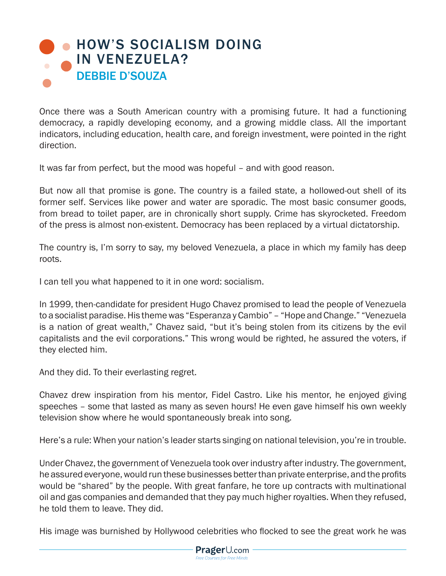## **. [HOW'S SOCIALISM DOING](https://www.prageru.com/courses/political-science/hows-socialism-doing-venezuela)** IN VENEZUELA? DEBBIE D'SOUZA

Once there was a South American country with a promising future. It had a functioning democracy, a rapidly developing economy, and a growing middle class. All the important indicators, including education, health care, and foreign investment, were pointed in the right direction.

It was far from perfect, but the mood was hopeful – and with good reason.

But now all that promise is gone. The country is a failed state, a hollowed-out shell of its former self. Services like power and water are sporadic. The most basic consumer goods, from bread to toilet paper, are in chronically short supply. Crime has skyrocketed. Freedom of the press is almost non-existent. Democracy has been replaced by a virtual dictatorship.

The country is, I'm sorry to say, my beloved Venezuela, a place in which my family has deep roots.

I can tell you what happened to it in one word: socialism.

In 1999, then-candidate for president Hugo Chavez promised to lead the people of Venezuela to a socialist paradise. His theme was "Esperanza y Cambio" – "Hope and Change." "Venezuela is a nation of great wealth," Chavez said, "but it's being stolen from its citizens by the evil capitalists and the evil corporations." This wrong would be righted, he assured the voters, if they elected him.

And they did. To their everlasting regret.

Chavez drew inspiration from his mentor, Fidel Castro. Like his mentor, he enjoyed giving speeches – some that lasted as many as seven hours! He even gave himself his own weekly television show where he would spontaneously break into song.

Here's a rule: When your nation's leader starts singing on national television, you're in trouble.

Under Chavez, the government of Venezuela took over industry after industry. The government, he assured everyone, would run these businesses better than private enterprise, and the profits would be "shared" by the people. With great fanfare, he tore up contracts with multinational oil and gas companies and demanded that they pay much higher royalties. When they refused, he told them to leave. They did.

His image was burnished by Hollywood celebrities who flocked to see the great work he was